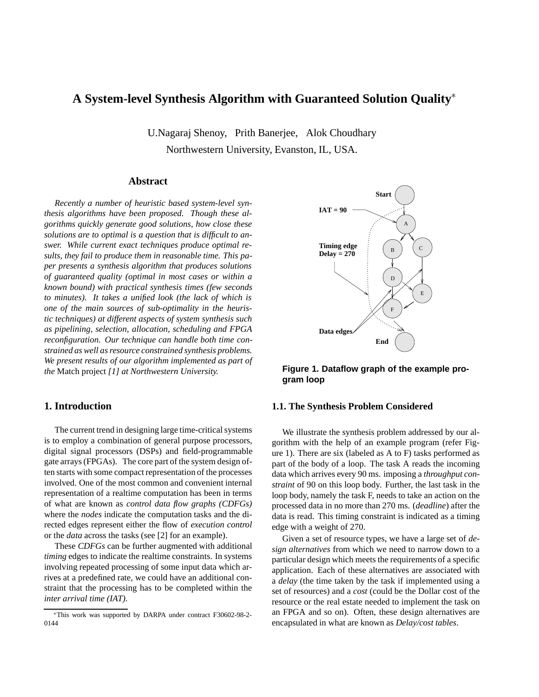# **A System-level Synthesis Algorithm with Guaranteed Solution Quality**

U.Nagaraj Shenoy, Prith Banerjee, Alok Choudhary Northwestern University, Evanston, IL, USA.

#### **Abstract**

*Recently a number of heuristic based system-level synthesis algorithms have been proposed. Though these algorithms quickly generate good solutions, how close these solutions are to optimal is a question that is difficult to answer. While current exact techniques produce optimal results, they fail to produce them in reasonable time. This paper presents a synthesis algorithm that produces solutions of guaranteed quality (optimal in most cases or within a known bound) with practical synthesis times (few seconds to minutes). It takes a unified look (the lack of which is one of the main sources of sub-optimality in the heuristic techniques) at different aspects of system synthesis such as pipelining, selection, allocation, scheduling and FPGA reconfiguration. Our technique can handle both time constrained as well as resource constrained synthesis problems. We present results of our algorithm implemented as part of the* Match project *[1] at Northwestern University.*

# **1. Introduction**

The current trend in designing large time-critical systems is to employ a combination of general purpose processors, digital signal processors (DSPs) and field-programmable gate arrays (FPGAs). The core part of the system design often starts with some compact representation of the processes involved. One of the most common and convenient internal representation of a realtime computation has been in terms of what are known as *control data flow graphs (CDFGs)* where the *nodes* indicate the computation tasks and the directed edges represent either the flow of *execution control* or the *data* across the tasks (see [2] for an example).

These *CDFGs* can be further augmented with additional *timing* edges to indicate the realtime constraints. In systems involving repeated processing of some input data which arrives at a predefined rate, we could have an additional constraint that the processing has to be completed within the *inter arrival time (IAT)*.



**Figure 1. Dataflow graph of the example program loop**

# **1.1. The Synthesis Problem Considered**

We illustrate the synthesis problem addressed by our algorithm with the help of an example program (refer Figure 1). There are six (labeled as A to F) tasks performed as part of the body of a loop. The task A reads the incoming data which arrives every 90 ms. imposing a *throughput constraint* of 90 on this loop body. Further, the last task in the loop body, namely the task F, needs to take an action on the processed data in no more than 270 ms. (*deadline*) after the data is read. This timing constraint is indicated as a timing edge with a weight of 270.

Given a set of resource types, we have a large set of *design alternatives* from which we need to narrow down to a particular design which meets the requirements of a specific application. Each of these alternatives are associated with a *delay* (the time taken by the task if implemented using a set of resources) and a *cost* (could be the Dollar cost of the resource or the real estate needed to implement the task on an FPGA and so on). Often, these design alternatives are encapsulated in what are known as *Delay/cost tables*.

This work was supported by DARPA under contract F30602-98-2- 0144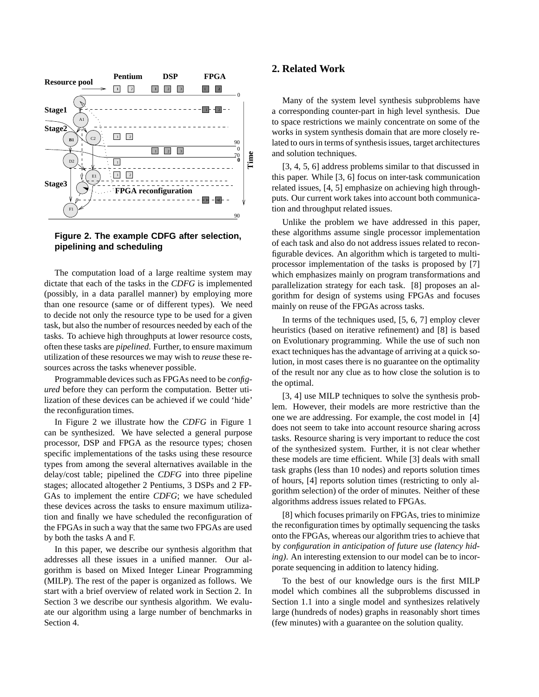

#### **Figure 2. The example CDFG after selection, pipelining and scheduling**

The computation load of a large realtime system may dictate that each of the tasks in the *CDFG* is implemented (possibly, in a data parallel manner) by employing more than one resource (same or of different types). We need to decide not only the resource type to be used for a given task, but also the number of resources needed by each of the tasks. To achieve high throughputs at lower resource costs, often these tasks are *pipelined*. Further, to ensure maximum utilization of these resources we may wish to *reuse* these resources across the tasks whenever possible.

Programmable devices such as FPGAs need to be *configured* before they can perform the computation. Better utilization of these devices can be achieved if we could 'hide' the reconfiguration times.

In Figure 2 we illustrate how the *CDFG* in Figure 1 can be synthesized. We have selected a general purpose processor, DSP and FPGA as the resource types; chosen specific implementations of the tasks using these resource types from among the several alternatives available in the delay/cost table; pipelined the *CDFG* into three pipeline stages; allocated altogether 2 Pentiums, 3 DSPs and 2 FP-GAs to implement the entire *CDFG*; we have scheduled these devices across the tasks to ensure maximum utilization and finally we have scheduled the reconfiguration of the FPGAs in such a way that the same two FPGAs are used by both the tasks A and F.

In this paper, we describe our synthesis algorithm that addresses all these issues in a unified manner. Our algorithm is based on Mixed Integer Linear Programming (MILP). The rest of the paper is organized as follows. We start with a brief overview of related work in Section 2. In Section 3 we describe our synthesis algorithm. We evaluate our algorithm using a large number of benchmarks in Section 4.

# **2. Related Work**

Many of the system level synthesis subproblems have a corresponding counter-part in high level synthesis. Due to space restrictions we mainly concentrate on some of the works in system synthesis domain that are more closely related to ours in terms of synthesis issues, target architectures and solution techniques.

[3, 4, 5, 6] address problems similar to that discussed in this paper. While [3, 6] focus on inter-task communication related issues, [4, 5] emphasize on achieving high throughputs. Our current work takes into account both communication and throughput related issues.

Unlike the problem we have addressed in this paper, these algorithms assume single processor implementation of each task and also do not address issues related to reconfigurable devices. An algorithm which is targeted to multiprocessor implementation of the tasks is proposed by [7] which emphasizes mainly on program transformations and parallelization strategy for each task. [8] proposes an algorithm for design of systems using FPGAs and focuses mainly on reuse of the FPGAs across tasks.

In terms of the techniques used, [5, 6, 7] employ clever heuristics (based on iterative refinement) and [8] is based on Evolutionary programming. While the use of such non exact techniques has the advantage of arriving at a quick solution, in most cases there is no guarantee on the optimality of the result nor any clue as to how close the solution is to the optimal.

[3, 4] use MILP techniques to solve the synthesis problem. However, their models are more restrictive than the one we are addressing. For example, the cost model in [4] does not seem to take into account resource sharing across tasks. Resource sharing is very important to reduce the cost of the synthesized system. Further, it is not clear whether these models are time efficient. While [3] deals with small task graphs (less than 10 nodes) and reports solution times of hours, [4] reports solution times (restricting to only algorithm selection) of the order of minutes. Neither of these algorithms address issues related to FPGAs.

[8] which focuses primarily on FPGAs, tries to minimize the reconfiguration times by optimally sequencing the tasks onto the FPGAs, whereas our algorithm tries to achieve that by *configuration in anticipation of future use (latency hiding)*. An interesting extension to our model can be to incorporate sequencing in addition to latency hiding.

To the best of our knowledge ours is the first MILP model which combines all the subproblems discussed in Section 1.1 into a single model and synthesizes relatively large (hundreds of nodes) graphs in reasonably short times (few minutes) with a guarantee on the solution quality.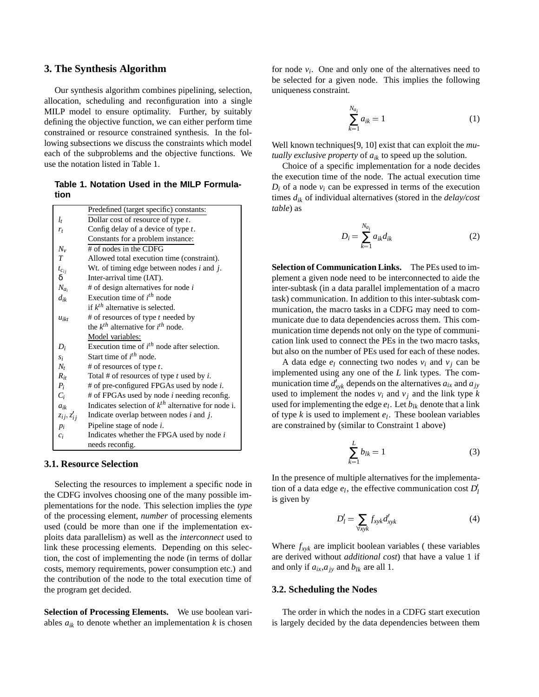### **3. The Synthesis Algorithm**

Our synthesis algorithm combines pipelining, selection, allocation, scheduling and reconfiguration into a single MILP model to ensure optimality. Further, by suitably defining the objective function, we can either perform time constrained or resource constrained synthesis. In the following subsections we discuss the constraints which model each of the subproblems and the objective functions. We use the notation listed in Table 1.

**Table 1. Notation Used in the MILP Formulation**

|                   | Predefined (target specific) constants:                 |
|-------------------|---------------------------------------------------------|
| $l_t$             | Dollar cost of resource of type $t$ .                   |
| $r_t$             | Config delay of a device of type $t$ .                  |
|                   | Constants for a problem instance:                       |
| $N_{\nu}$         | # of nodes in the CDFG                                  |
| $\boldsymbol{T}$  | Allowed total execution time (constraint).              |
| $t_{c_{ij}}$      | Wt. of timing edge between nodes $i$ and $j$ .          |
| $\delta$          | Inter-arrival time (IAT).                               |
| $N_{a_i}$         | # of design alternatives for node $i$                   |
| $d_{ik}$          | Execution time of $i^{th}$ node                         |
|                   | if $k^{th}$ alternative is selected.                    |
| $u_{ikt}$         | # of resources of type t needed by                      |
|                   | the $k^{th}$ alternative for $i^{th}$ node.             |
|                   | Model variables:                                        |
| $D_i$             | Execution time of $i^{th}$ node after selection.        |
| $s_i$             | Start time of $i^{th}$ node.                            |
| $N_t$             | # of resources of type $t$ .                            |
| $R_{it}$          | Total # of resources of type $t$ used by $i$ .          |
| $P_i$             | # of pre-configured FPGAs used by node <i>i</i> .       |
| $C_i$             | # of FPGAs used by node <i>i</i> needing reconfig.      |
| $a_{ik}$          | Indicates selection of $k^{th}$ alternative for node i. |
| $z_{ij}, z'_{ij}$ | Indicate overlap between nodes $i$ and $j$ .            |
| pi                | Pipeline stage of node $i$ .                            |
| $c_i$             | Indicates whether the FPGA used by node $i$             |
|                   | needs reconfig.                                         |

#### **3.1. Resource Selection**

Selecting the resources to implement a specific node in the CDFG involves choosing one of the many possible implementations for the node. This selection implies the *type* of the processing element, *number* of processing elements used (could be more than one if the implementation exploits data parallelism) as well as the *interconnect* used to link these processing elements. Depending on this selection, the cost of implementing the node (in terms of dollar costs, memory requirements, power consumption etc.) and the contribution of the node to the total execution time of the program get decided.

**Selection of Processing Elements.** We use boolean variables  $a_{ik}$  to denote whether an implementation  $k$  is chosen for node *vi*. One and only one of the alternatives need to be selected for a given node. This implies the following uniqueness constraint.

$$
\sum_{k=1}^{N_{a_i}} a_{ik} = 1
$$
 (1)

Well known techniques[9, 10] exist that can exploit the *mutually exclusive property* of *aik* to speed up the solution.

Choice of a specific implementation for a node decides the execution time of the node. The actual execution time  $D_i$  of a node  $v_i$  can be expressed in terms of the execution times *dik* of individual alternatives (stored in the *delay/cost table*) as

$$
D_i = \sum_{k=1}^{N_{a_i}} a_{ik} d_{ik} \tag{2}
$$

**Selection of Communication Links.** The PEs used to implement a given node need to be interconnected to aide the inter-subtask (in a data parallel implementation of a macro task) communication. In addition to this inter-subtask communication, the macro tasks in a CDFG may need to communicate due to data dependencies across them. This communication time depends not only on the type of communication link used to connect the PEs in the two macro tasks, but also on the number of PEs used for each of these nodes.

A data edge  $e_l$  connecting two nodes  $v_i$  and  $v_j$  can be implemented using any one of the *L* link types. The communication time  $d'_{xyk}$  depends on the alternatives  $a_{ix}$  and  $a_{jy}$ used to implement the nodes  $v_i$  and  $v_j$  and the link type  $k$ used for implementing the edge  $e_l$ . Let  $b_{lk}$  denote that a link of type  $k$  is used to implement  $e_l$ . These boolean variables are constrained by (similar to Constraint 1 above)

$$
\sum_{k=1}^{L} b_{lk} = 1
$$
 (3)

In the presence of multiple alternatives for the implementation of a data edge  $e_l$ , the effective communication cost  $D_l'$ is given by

$$
D'_{l} = \sum_{\forall xyk} f_{xyk} d'_{xyk} \tag{4}
$$

Where  $f_{xyk}$  are implicit boolean variables (these variables are derived without *additional cost*) that have a value 1 if and only if  $a_{ix}, a_{iy}$  and  $b_{lk}$  are all 1.

#### **3.2. Scheduling the Nodes**

The order in which the nodes in a CDFG start execution is largely decided by the data dependencies between them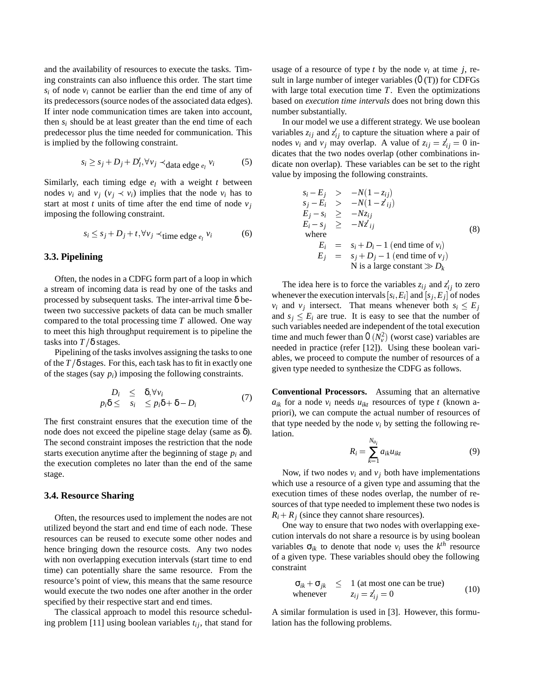and the availability of resources to execute the tasks. Timing constraints can also influence this order. The start time *si* of node *vi* cannot be earlier than the end time of any of its predecessors (source nodes of the associated data edges). If inter node communication times are taken into account, then *si* should be at least greater than the end time of each predecessor plus the time needed for communication. This is implied by the following constraint.

$$
s_i \ge s_j + D_j + D'_l, \forall v_j \prec_{\text{data edge } e_l} v_i \tag{5}
$$

Similarly, each timing edge *el* with a weight *t* between nodes  $v_i$  and  $v_j$  ( $v_j \prec v_i$ ) implies that the node  $v_i$  has to start at most *t* units of time after the end time of node  $v_j$ imposing the following constraint.

$$
s_i \le s_j + D_j + t, \forall v_j \prec_{\text{time edge } e_l} v_i \tag{6}
$$

#### **3.3. Pipelining**

Often, the nodes in a CDFG form part of a loop in which a stream of incoming data is read by one of the tasks and processed by subsequent tasks. The inter-arrival time  $\delta$  between two successive packets of data can be much smaller compared to the total processing time *T* allowed. One way to meet this high throughput requirement is to pipeline the tasks into  $T/\delta$  stages.

Pipelining of the tasks involves assigning the tasks to one of the  $T/\delta$  stages. For this, each task has to fit in exactly one of the stages (say *pi*) imposing the following constraints.

$$
D_i \leq \delta, \forall v_i
$$
  
\n
$$
p_i \delta \leq s_i \leq p_i \delta + \delta - D_i
$$
 (7)

The first constraint ensures that the execution time of the node does not exceed the pipeline stage delay (same as  $\delta$ ). The second constraint imposes the restriction that the node starts execution anytime after the beginning of stage *pi* and the execution completes no later than the end of the same stage.

#### **3.4. Resource Sharing**

Often, the resources used to implement the nodes are not utilized beyond the start and end time of each node. These resources can be reused to execute some other nodes and hence bringing down the resource costs. Any two nodes with non overlapping execution intervals (start time to end time) can potentially share the same resource. From the resource's point of view, this means that the same resource would execute the two nodes one after another in the order specified by their respective start and end times.

The classical approach to model this resource scheduling problem [11] using boolean variables  $t_{ij}$ , that stand for usage of a resource of type *t* by the node  $v_i$  at time *j*, result in large number of integer variables  $(\mathcal{O}(T))$  for CDFGs with large total execution time *T*. Even the optimizations based on *execution time intervals* does not bring down this number substantially.

In our model we use a different strategy. We use boolean variables  $z_{ij}$  and  $z'_{ij}$  to capture the situation where a pair of nodes  $v_i$  and  $v_j$  may overlap. A value of  $z_{ij} = z'_{ij} = 0$  indicates that the two nodes overlap (other combinations indicate non overlap). These variables can be set to the right value by imposing the following constraints.

$$
s_i - E_j > -N(1 - z_{ij})
$$
  
\n
$$
s_j - E_i > -N(1 - z'_{ij})
$$
  
\n
$$
E_j - s_i \ge -Nz_{ij}
$$
  
\n
$$
E_i - s_j \ge -Nz'_{ij}
$$
  
\nwhere  
\n
$$
E_i = s_i + D_i - 1 \text{ (end time of } v_i)
$$
  
\n
$$
E_j = s_j + D_j - 1 \text{ (end time of } v_j)
$$
  
\nN is a large constant  $\gg D_k$ 

The idea here is to force the variables  $z_{ij}$  and  $z'_{ij}$  to zero whenever the execution intervals  $[s_i, E_i]$  and  $[s_j, E_j]$  of nodes  $v_i$  and  $v_j$  intersect. That means whenever both  $s_i \leq E_j$ and  $s_i \leq E_i$  are true. It is easy to see that the number of such variables needed are independent of the total execution time and much fewer than  $O(N_v^2)$  (worst case) variables are needed in practice (refer [12]). Using these boolean variables, we proceed to compute the number of resources of a given type needed to synthesize the CDFG as follows.

**Conventional Processors.** Assuming that an alternative  $a_{ik}$  for a node  $v_i$  needs  $u_{ikt}$  resources of type *t* (known apriori), we can compute the actual number of resources of that type needed by the node  $v_i$  by setting the following relation.

$$
R_i = \sum_{k=1}^{N_{a_i}} a_{ik} u_{ikt}
$$
\n<sup>(9)</sup>

Now, if two nodes  $v_i$  and  $v_j$  both have implementations which use a resource of a given type and assuming that the execution times of these nodes overlap, the number of resources of that type needed to implement these two nodes is  $R_i + R_j$  (since they cannot share resources).

One way to ensure that two nodes with overlapping execution intervals do not share a resource is by using boolean variables  $\sigma_{ik}$  to denote that node  $v_i$  uses the  $k^{th}$  resource of a given type. These variables should obey the following constraint

$$
\begin{array}{rcl}\n\sigma_{ik} + \sigma_{jk} & \leq & 1 \text{ (at most one can be true)} \\
\text{whenever} & z_{ij} = z'_{ij} = 0\n\end{array} \tag{10}
$$

A similar formulation is used in [3]. However, this formulation has the following problems.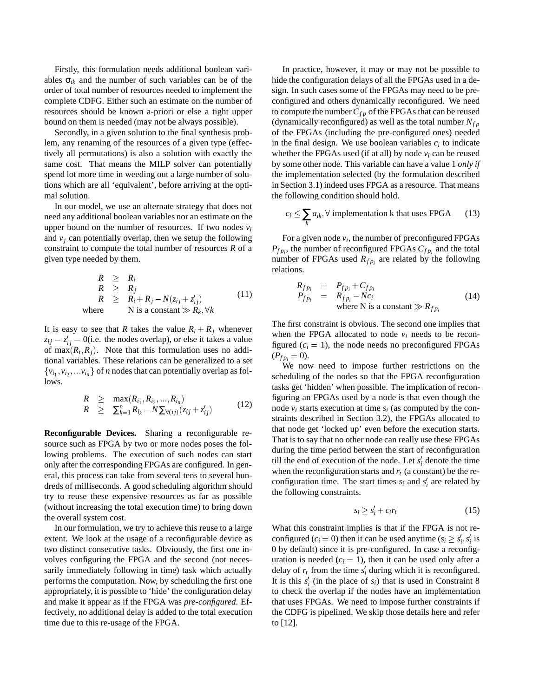Firstly, this formulation needs additional boolean variables  $\sigma_{ik}$  and the number of such variables can be of the order of total number of resources needed to implement the complete CDFG. Either such an estimate on the number of resources should be known a-priori or else a tight upper bound on them is needed (may not be always possible).

Secondly, in a given solution to the final synthesis problem, any renaming of the resources of a given type (effectively all permutations) is also a solution with exactly the same cost. That means the MILP solver can potentially spend lot more time in weeding out a large number of solutions which are all 'equivalent', before arriving at the optimal solution.

In our model, we use an alternate strategy that does not need any additional boolean variables nor an estimate on the upper bound on the number of resources. If two nodes  $v_i$ and  $v_i$  can potentially overlap, then we setup the following constraint to compute the total number of resources *R* of a given type needed by them.

$$
R \geq R_i
$$
  
\n
$$
R \geq R_j
$$
  
\n
$$
R \geq R_i + R_j - N(z_{ij} + z'_{ij})
$$
  
\nwhere  $N$  is a constant  $\gg R_k, \forall k$  (11)

It is easy to see that *R* takes the value  $R_i + R_j$  whenever  $z_{ij} = z'_{ij} = 0$  (i.e. the nodes overlap), or else it takes a value of max $(R_i, R_j)$ . Note that this formulation uses no additional variables. These relations can be generalized to a set  ${v_{i_1}, v_{i_2}, \ldots v_{i_n}}$  of *n* nodes that can potentially overlap as follows.

$$
R \geq \max(R_{i_1}, R_{i_2},..., R_{i_n})
$$
  
\n
$$
R \geq \sum_{k=1}^n R_{i_k} - N \sum_{\forall (ij)} (z_{ij} + z'_{ij})
$$
 (12)

**Reconfigurable Devices.** Sharing a reconfigurable resource such as FPGA by two or more nodes poses the following problems. The execution of such nodes can start only after the corresponding FPGAs are configured. In general, this process can take from several tens to several hundreds of milliseconds. A good scheduling algorithm should try to reuse these expensive resources as far as possible (without increasing the total execution time) to bring down the overall system cost.

In our formulation, we try to achieve this reuse to a large extent. We look at the usage of a reconfigurable device as two distinct consecutive tasks. Obviously, the first one involves configuring the FPGA and the second (not necessarily immediately following in time) task which actually performs the computation. Now, by scheduling the first one appropriately, it is possible to 'hide' the configuration delay and make it appear as if the FPGA was *pre-configured*. Effectively, no additional delay is added to the total execution time due to this re-usage of the FPGA.

In practice, however, it may or may not be possible to hide the configuration delays of all the FPGAs used in a design. In such cases some of the FPGAs may need to be preconfigured and others dynamically reconfigured. We need to compute the number  $C_{fp}$  of the FPGAs that can be reused (dynamically reconfigured) as well as the total number  $N_{fp}$ of the FPGAs (including the pre-configured ones) needed in the final design. We use boolean variables  $c_i$  to indicate whether the FPGAs used (if at all) by node  $v_i$  can be reused by some other node. This variable can have a value 1 *only if* the implementation selected (by the formulation described in Section 3.1) indeed uses FPGA as a resource. That means the following condition should hold.

$$
c_i \le \sum_k a_{ik}, \forall \text{ implementation k that uses FPGA} \qquad (13)
$$

For a given node  $v_i$ , the number of preconfigured FPGAs  $P_{fp_i}$ , the number of reconfigured FPGAs  $C_{fp_i}$  and the total number of FPGAs used  $R_{fp_i}$  are related by the following relations.

$$
R_{fp_i} = P_{fp_i} + C_{fp_i}
$$
  
\n
$$
P_{fp_i} = R_{fp_i} - Nc_i
$$
  
\nwhere N is a constant  $\gg R_{fp_i}$  (14)

The first constraint is obvious. The second one implies that when the FPGA allocated to node  $v_i$  needs to be reconfigured  $(c_i = 1)$ , the node needs no preconfigured FPGAs  $(P_{fp_i} = 0).$ 

We now need to impose further restrictions on the scheduling of the nodes so that the FPGA reconfiguration tasks get 'hidden' when possible. The implication of reconfiguring an FPGAs used by a node is that even though the node  $v_i$  starts execution at time  $s_i$  (as computed by the constraints described in Section 3.2), the FPGAs allocated to that node get 'locked up' even before the execution starts. That is to say that no other node can really use these FPGAs during the time period between the start of reconfiguration till the end of execution of the node. Let  $s_i'$  denote the time when the reconfiguration starts and  $r_t$  (a constant) be the reconfiguration time. The start times  $s_i$  and  $s'_i$  are related by the following constraints.

$$
s_i \ge s_i' + c_i r_t \tag{15}
$$

What this constraint implies is that if the FPGA is not reconfigured ( $c_i = 0$ ) then it can be used anytime ( $s_i \geq s'_i, s'_i$  is 0 by default) since it is pre-configured. In case a reconfiguration is needed  $(c_i = 1)$ , then it can be used only after a delay of  $r_t$  from the time  $s'_i$  during which it is reconfigured. It is this  $s_i'$  (in the place of  $s_i$ ) that is used in Constraint 8 to check the overlap if the nodes have an implementation that uses FPGAs. We need to impose further constraints if the CDFG is pipelined. We skip those details here and refer to [12].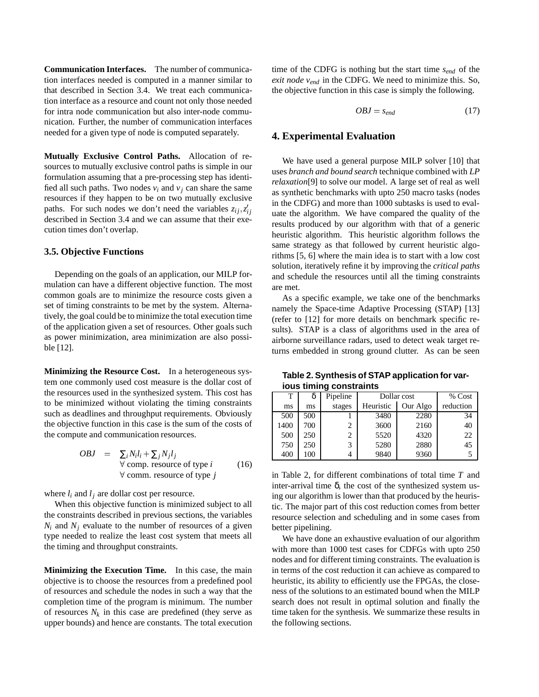**Communication Interfaces.** The number of communication interfaces needed is computed in a manner similar to that described in Section 3.4. We treat each communication interface as a resource and count not only those needed for intra node communication but also inter-node communication. Further, the number of communication interfaces needed for a given type of node is computed separately.

**Mutually Exclusive Control Paths.** Allocation of resources to mutually exclusive control paths is simple in our formulation assuming that a pre-processing step has identified all such paths. Two nodes  $v_i$  and  $v_j$  can share the same resources if they happen to be on two mutually exclusive paths. For such nodes we don't need the variables  $z_{ij}, z'_{ij}$ described in Section 3.4 and we can assume that their execution times don't overlap.

## **3.5. Objective Functions**

Depending on the goals of an application, our MILP formulation can have a different objective function. The most common goals are to minimize the resource costs given a set of timing constraints to be met by the system. Alternatively, the goal could be to minimize the total execution time of the application given a set of resources. Other goals such as power minimization, area minimization are also possible [12].

**Minimizing the Resource Cost.** In a heterogeneous system one commonly used cost measure is the dollar cost of the resources used in the synthesized system. This cost has to be minimized without violating the timing constraints such as deadlines and throughput requirements. Obviously the objective function in this case is the sum of the costs of the compute and communication resources.

*OBJ* = 
$$
\sum_i N_i l_i + \sum_j N_j l_j
$$
  
\n $\forall$  comp. resource of type *i* (16)  
\n $\forall$  comm. resource of type *j*

where  $l_i$  and  $l_j$  are dollar cost per resource.

When this objective function is minimized subject to all the constraints described in previous sections, the variables  $N_i$  and  $N_j$  evaluate to the number of resources of a given type needed to realize the least cost system that meets all the timing and throughput constraints.

**Minimizing the Execution Time.** In this case, the main objective is to choose the resources from a predefined pool of resources and schedule the nodes in such a way that the completion time of the program is minimum. The number of resources  $N_k$  in this case are predefined (they serve as upper bounds) and hence are constants. The total execution time of the CDFG is nothing but the start time *send* of the *exit node*  $v_{end}$  in the CDFG. We need to minimize this. So, the objective function in this case is simply the following.

$$
OBJ = s_{end} \tag{17}
$$

## **4. Experimental Evaluation**

We have used a general purpose MILP solver [10] that uses *branch and bound search* technique combined with *LP relaxation*[9] to solve our model. A large set of real as well as synthetic benchmarks with upto 250 macro tasks (nodes in the CDFG) and more than 1000 subtasks is used to evaluate the algorithm. We have compared the quality of the results produced by our algorithm with that of a generic heuristic algorithm. This heuristic algorithm follows the same strategy as that followed by current heuristic algorithms [5, 6] where the main idea is to start with a low cost solution, iteratively refine it by improving the *critical paths* and schedule the resources until all the timing constraints are met.

As a specific example, we take one of the benchmarks namely the Space-time Adaptive Processing (STAP) [13] (refer to [12] for more details on benchmark specific results). STAP is a class of algorithms used in the area of airborne surveillance radars, used to detect weak target returns embedded in strong ground clutter. As can be seen

**Table 2. Synthesis of STAP application for various timing constraints**

| T    |     | Pipeline       | Dollar cost |          | % Cost    |
|------|-----|----------------|-------------|----------|-----------|
| ms   | ms  | stages         | Heuristic   | Our Algo | reduction |
| 500  | 500 |                | 3480        | 2280     | 34        |
| 1400 | 700 | 2              | 3600        | 2160     | 40        |
| 500  | 250 | 2              | 5520        | 4320     | 22        |
| 750  | 250 | 3              | 5280        | 2880     | 45        |
| 400  | 100 | $\overline{4}$ | 9840        | 9360     |           |

in Table 2, for different combinations of total time *T* and inter-arrival time  $\delta$ , the cost of the synthesized system using our algorithm is lower than that produced by the heuristic. The major part of this cost reduction comes from better resource selection and scheduling and in some cases from better pipelining.

We have done an exhaustive evaluation of our algorithm with more than 1000 test cases for CDFGs with upto 250 nodes and for different timing constraints. The evaluation is in terms of the cost reduction it can achieve as compared to heuristic, its ability to efficiently use the FPGAs, the closeness of the solutions to an estimated bound when the MILP search does not result in optimal solution and finally the time taken for the synthesis. We summarize these results in the following sections.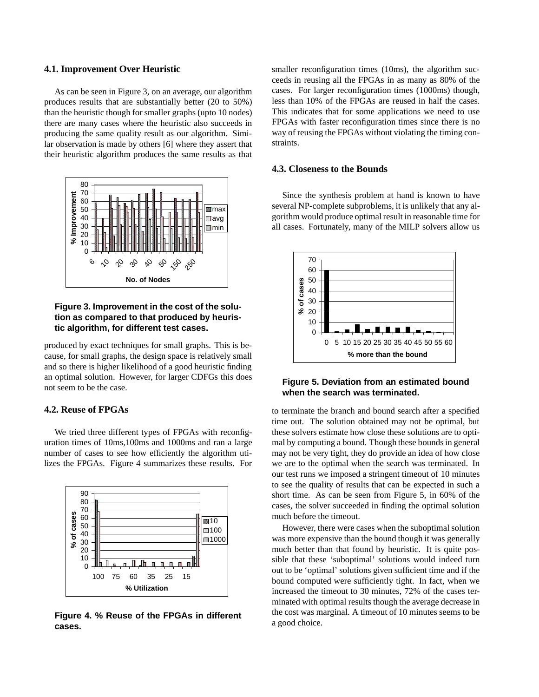#### **4.1. Improvement Over Heuristic**

As can be seen in Figure 3, on an average, our algorithm produces results that are substantially better (20 to 50%) than the heuristic though for smaller graphs (upto 10 nodes) there are many cases where the heuristic also succeeds in producing the same quality result as our algorithm. Similar observation is made by others [6] where they assert that their heuristic algorithm produces the same results as that



### **Figure 3. Improvement in the cost of the solution as compared to that produced by heuristic algorithm, for different test cases.**

produced by exact techniques for small graphs. This is because, for small graphs, the design space is relatively small and so there is higher likelihood of a good heuristic finding an optimal solution. However, for larger CDFGs this does not seem to be the case.

# **4.2. Reuse of FPGAs**

We tried three different types of FPGAs with reconfiguration times of 10ms,100ms and 1000ms and ran a large number of cases to see how efficiently the algorithm utilizes the FPGAs. Figure 4 summarizes these results. For



**Figure 4. % Reuse of the FPGAs in different cases.**

smaller reconfiguration times (10ms), the algorithm succeeds in reusing all the FPGAs in as many as 80% of the cases. For larger reconfiguration times (1000ms) though, less than 10% of the FPGAs are reused in half the cases. This indicates that for some applications we need to use FPGAs with faster reconfiguration times since there is no way of reusing the FPGAs without violating the timing constraints.

## **4.3. Closeness to the Bounds**

Since the synthesis problem at hand is known to have several NP-complete subproblems, it is unlikely that any algorithm would produce optimal result in reasonable time for all cases. Fortunately, many of the MILP solvers allow us



# **Figure 5. Deviation from an estimated bound when the search was terminated.**

to terminate the branch and bound search after a specified time out. The solution obtained may not be optimal, but these solvers estimate how close these solutions are to optimal by computing a bound. Though these bounds in general may not be very tight, they do provide an idea of how close we are to the optimal when the search was terminated. In our test runs we imposed a stringent timeout of 10 minutes to see the quality of results that can be expected in such a short time. As can be seen from Figure 5, in 60% of the cases, the solver succeeded in finding the optimal solution much before the timeout.

However, there were cases when the suboptimal solution was more expensive than the bound though it was generally much better than that found by heuristic. It is quite possible that these 'suboptimal' solutions would indeed turn out to be 'optimal' solutions given sufficient time and if the bound computed were sufficiently tight. In fact, when we increased the timeout to 30 minutes, 72% of the cases terminated with optimal results though the average decrease in the cost was marginal. A timeout of 10 minutes seems to be a good choice.